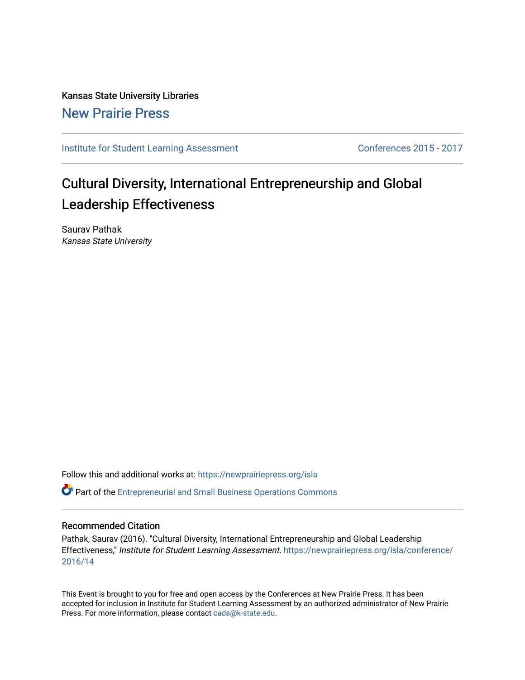## Kansas State University Libraries [New Prairie Press](https://newprairiepress.org/)

[Institute for Student Learning Assessment](https://newprairiepress.org/isla) Conferences 2015 - 2017

# Cultural Diversity, International Entrepreneurship and Global Leadership Effectiveness

Saurav Pathak Kansas State University

Follow this and additional works at: [https://newprairiepress.org/isla](https://newprairiepress.org/isla?utm_source=newprairiepress.org%2Fisla%2Fconference%2F2016%2F14&utm_medium=PDF&utm_campaign=PDFCoverPages) 

Part of the [Entrepreneurial and Small Business Operations Commons](http://network.bepress.com/hgg/discipline/630?utm_source=newprairiepress.org%2Fisla%2Fconference%2F2016%2F14&utm_medium=PDF&utm_campaign=PDFCoverPages) 

#### Recommended Citation

Pathak, Saurav (2016). "Cultural Diversity, International Entrepreneurship and Global Leadership Effectiveness," Institute for Student Learning Assessment. [https://newprairiepress.org/isla/conference/](https://newprairiepress.org/isla/conference/2016/14) [2016/14](https://newprairiepress.org/isla/conference/2016/14) 

This Event is brought to you for free and open access by the Conferences at New Prairie Press. It has been accepted for inclusion in Institute for Student Learning Assessment by an authorized administrator of New Prairie Press. For more information, please contact [cads@k-state.edu.](mailto:cads@k-state.edu)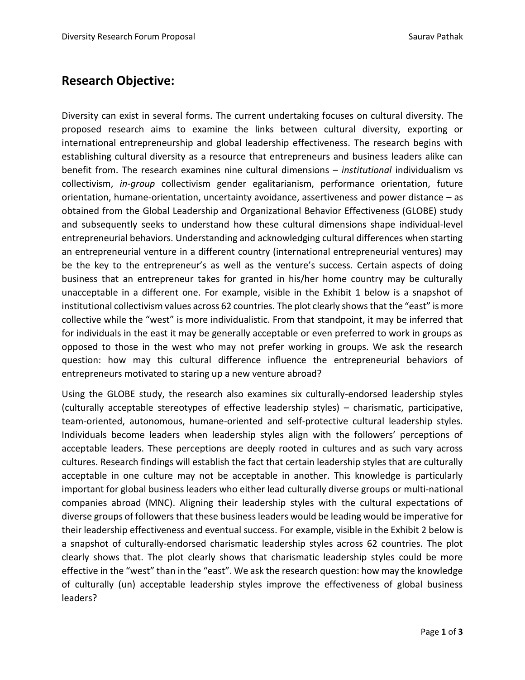#### **Research Objective:**

Diversity can exist in several forms. The current undertaking focuses on cultural diversity. The proposed research aims to examine the links between cultural diversity, exporting or international entrepreneurship and global leadership effectiveness. The research begins with establishing cultural diversity as a resource that entrepreneurs and business leaders alike can benefit from. The research examines nine cultural dimensions – *institutional* individualism vs collectivism, *in-group* collectivism gender egalitarianism, performance orientation, future orientation, humane-orientation, uncertainty avoidance, assertiveness and power distance – as obtained from the Global Leadership and Organizational Behavior Effectiveness (GLOBE) study and subsequently seeks to understand how these cultural dimensions shape individual-level entrepreneurial behaviors. Understanding and acknowledging cultural differences when starting an entrepreneurial venture in a different country (international entrepreneurial ventures) may be the key to the entrepreneur's as well as the venture's success. Certain aspects of doing business that an entrepreneur takes for granted in his/her home country may be culturally unacceptable in a different one. For example, visible in the Exhibit 1 below is a snapshot of institutional collectivism values across 62 countries. The plot clearly shows that the "east" is more collective while the "west" is more individualistic. From that standpoint, it may be inferred that for individuals in the east it may be generally acceptable or even preferred to work in groups as opposed to those in the west who may not prefer working in groups. We ask the research question: how may this cultural difference influence the entrepreneurial behaviors of entrepreneurs motivated to staring up a new venture abroad?

Using the GLOBE study, the research also examines six culturally-endorsed leadership styles (culturally acceptable stereotypes of effective leadership styles) – charismatic, participative, team-oriented, autonomous, humane-oriented and self-protective cultural leadership styles. Individuals become leaders when leadership styles align with the followers' perceptions of acceptable leaders. These perceptions are deeply rooted in cultures and as such vary across cultures. Research findings will establish the fact that certain leadership styles that are culturally acceptable in one culture may not be acceptable in another. This knowledge is particularly important for global business leaders who either lead culturally diverse groups or multi-national companies abroad (MNC). Aligning their leadership styles with the cultural expectations of diverse groups of followers that these business leaders would be leading would be imperative for their leadership effectiveness and eventual success. For example, visible in the Exhibit 2 below is a snapshot of culturally-endorsed charismatic leadership styles across 62 countries. The plot clearly shows that. The plot clearly shows that charismatic leadership styles could be more effective in the "west" than in the "east". We ask the research question: how may the knowledge of culturally (un) acceptable leadership styles improve the effectiveness of global business leaders?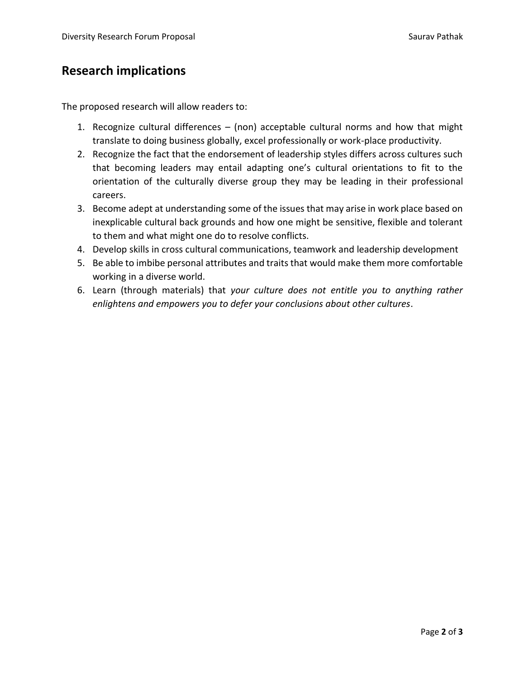## **Research implications**

The proposed research will allow readers to:

- 1. Recognize cultural differences (non) acceptable cultural norms and how that might translate to doing business globally, excel professionally or work-place productivity.
- 2. Recognize the fact that the endorsement of leadership styles differs across cultures such that becoming leaders may entail adapting one's cultural orientations to fit to the orientation of the culturally diverse group they may be leading in their professional careers.
- 3. Become adept at understanding some of the issues that may arise in work place based on inexplicable cultural back grounds and how one might be sensitive, flexible and tolerant to them and what might one do to resolve conflicts.
- 4. Develop skills in cross cultural communications, teamwork and leadership development
- 5. Be able to imbibe personal attributes and traits that would make them more comfortable working in a diverse world.
- 6. Learn (through materials) that *your culture does not entitle you to anything rather enlightens and empowers you to defer your conclusions about other cultures*.